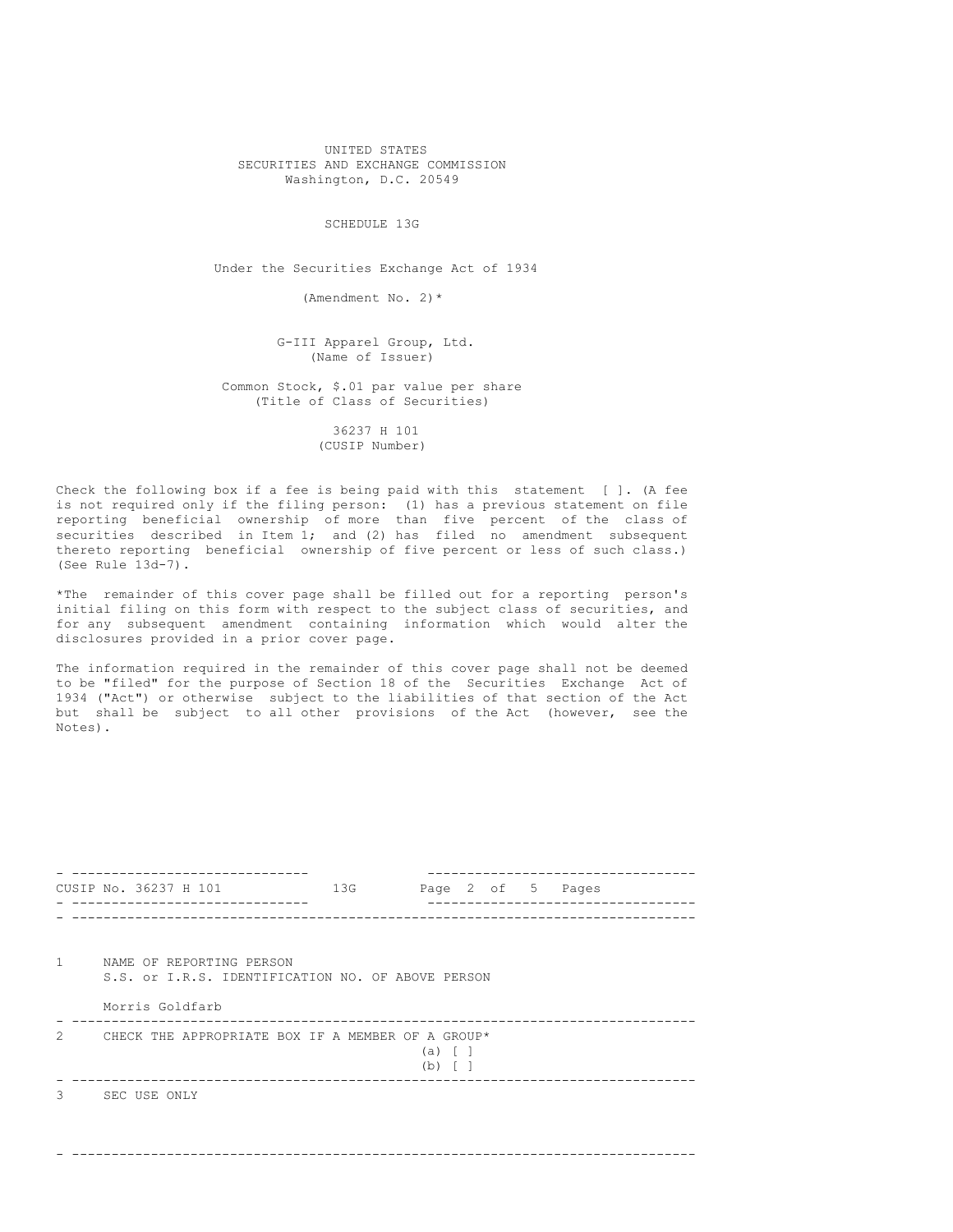UNITED STATES SECURITIES AND EXCHANGE COMMISSION Washington, D.C. 20549

SCHEDULE 13G

Under the Securities Exchange Act of 1934

(Amendment No. 2)\*

G-III Apparel Group, Ltd. (Name of Issuer)

Common Stock, \$.01 par value per share (Title of Class of Securities)

> 36237 H 101 (CUSIP Number)

Check the following box if a fee is being paid with this statement [ ]. (A fee is not required only if the filing person: (1) has a previous statement on file reporting beneficial ownership of more than five percent of the class of securities described in Item 1; and (2) has filed no amendment subsequent thereto reporting beneficial ownership of five percent or less of such class.) (See Rule 13d-7).

\*The remainder of this cover page shall be filled out for a reporting person's initial filing on this form with respect to the subject class of securities, and for any subsequent amendment containing information which would alter the disclosures provided in a prior cover page.

The information required in the remainder of this cover page shall not be deemed to be "filed" for the purpose of Section 18 of the Securities Exchange Act of 1934 ("Act") or otherwise subject to the liabilities of that section of the Act but shall be subject to all other provisions of the Act (however, see the Notes).

|                | CUSIP No. 36237 H 101                                                         | 13G |                       |  |  |  | Page 2 of 5 Pages |  |  |
|----------------|-------------------------------------------------------------------------------|-----|-----------------------|--|--|--|-------------------|--|--|
|                |                                                                               |     |                       |  |  |  |                   |  |  |
| $\mathbf{1}$   | NAME OF REPORTING PERSON<br>S.S. or I.R.S. IDENTIFICATION NO. OF ABOVE PERSON |     |                       |  |  |  |                   |  |  |
|                | Morris Goldfarb                                                               |     |                       |  |  |  |                   |  |  |
| $\mathfrak{D}$ | CHECK THE APPROPRIATE BOX IF A MEMBER OF A GROUP*                             |     | (a)<br>$(b)$ $\lceil$ |  |  |  |                   |  |  |
| 3              | SEC USE ONLY                                                                  |     |                       |  |  |  |                   |  |  |
|                |                                                                               |     |                       |  |  |  |                   |  |  |
|                |                                                                               |     |                       |  |  |  |                   |  |  |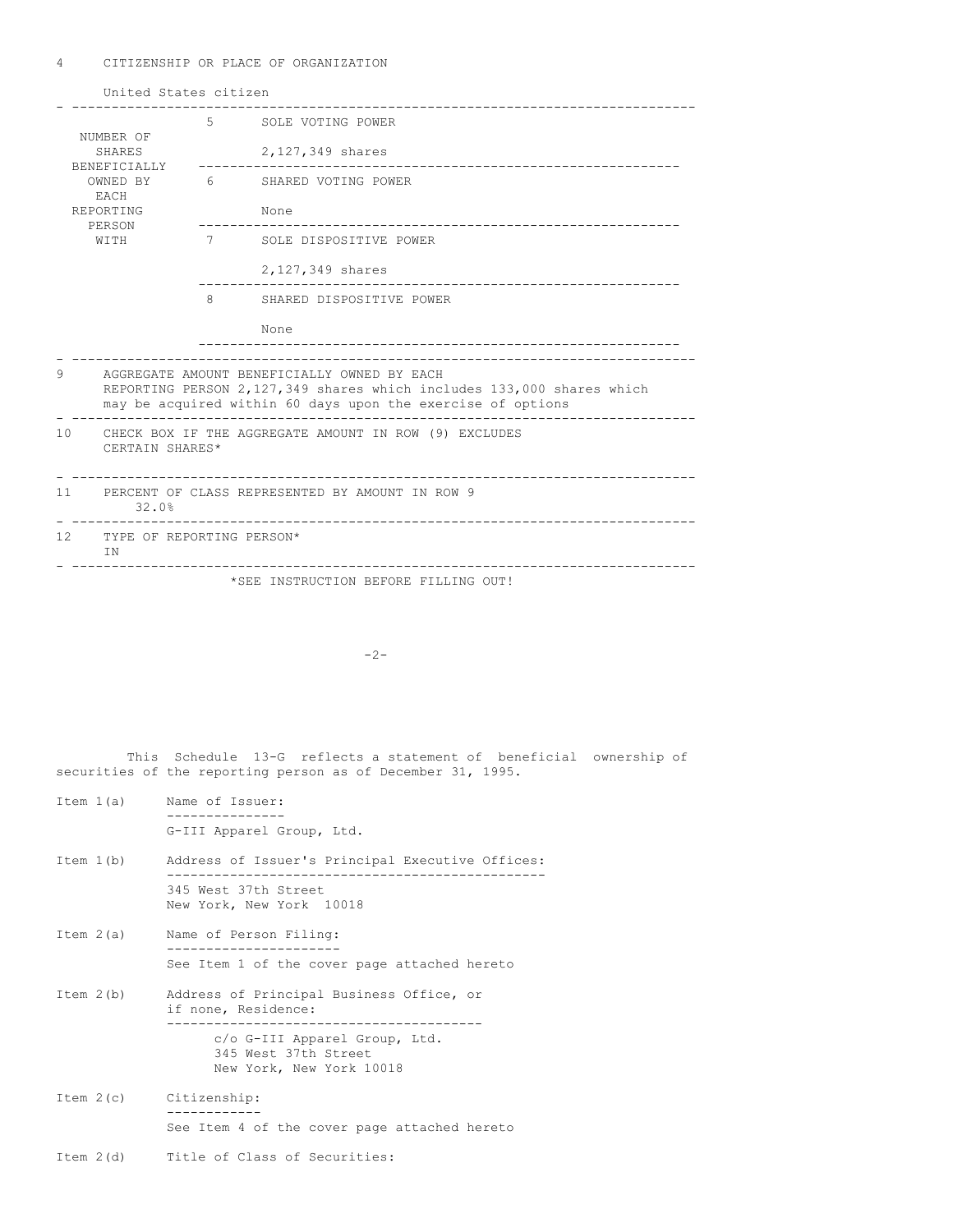4 CITIZENSHIP OR PLACE OF ORGANIZATION

|                                                        | United States citizen                                                                                                                                                               |             |                                       |  |  |  |  |
|--------------------------------------------------------|-------------------------------------------------------------------------------------------------------------------------------------------------------------------------------------|-------------|---------------------------------------|--|--|--|--|
|                                                        |                                                                                                                                                                                     |             | 5 SOLE VOTING POWER                   |  |  |  |  |
|                                                        | NUMBER OF<br><b>SHARES</b><br>BENEFICIALLY                                                                                                                                          |             | 2,127,349 shares<br>----------------- |  |  |  |  |
| OWNED BY<br><b>FACH</b><br>REPORTING<br>PERSON<br>WTTH |                                                                                                                                                                                     |             | 6 SHARED VOTING POWER                 |  |  |  |  |
|                                                        |                                                                                                                                                                                     |             | None                                  |  |  |  |  |
|                                                        |                                                                                                                                                                                     | $7$ and $7$ | SOLE DISPOSITIVE POWER                |  |  |  |  |
|                                                        |                                                                                                                                                                                     |             | 2,127,349 shares                      |  |  |  |  |
|                                                        |                                                                                                                                                                                     | 8           | SHARED DISPOSITIVE POWER              |  |  |  |  |
|                                                        |                                                                                                                                                                                     |             | None                                  |  |  |  |  |
|                                                        |                                                                                                                                                                                     |             |                                       |  |  |  |  |
| 9                                                      | AGGREGATE AMOUNT BENEFICIALLY OWNED BY EACH<br>REPORTING PERSON 2,127,349 shares which includes 133,000 shares which<br>may be acquired within 60 days upon the exercise of options |             |                                       |  |  |  |  |
| 10                                                     | CHECK BOX IF THE AGGREGATE AMOUNT IN ROW (9) EXCLUDES<br>CERTAIN SHARES*                                                                                                            |             |                                       |  |  |  |  |
|                                                        | 11 PERCENT OF CLASS REPRESENTED BY AMOUNT IN ROW 9<br>32.0%                                                                                                                         |             |                                       |  |  |  |  |
| 12.                                                    | TYPE OF REPORTING PERSON*<br>ΙN                                                                                                                                                     |             |                                       |  |  |  |  |
|                                                        |                                                                                                                                                                                     |             | *SEE INSTRUCTION BEFORE FILLING OUT!  |  |  |  |  |

 $-2-$ 

This Schedule 13-G reflects a statement of beneficial ownership of securities of the reporting person as of December 31, 1995.

- Item 1(a) Name of Issuer: --------------- G-III Apparel Group, Ltd.
- Item 1(b) Address of Issuer's Principal Executive Offices: ------------------------------------------------ 345 West 37th Street New York, New York 10018
- Item 2(a) Name of Person Filing: ---------------------- See Item 1 of the cover page attached hereto
- Item 2(b) Address of Principal Business Office, or if none, Residence: --------------------------------------- c/o G-III Apparel Group, Ltd. 345 West 37th Street New York, New York 10018
- Item 2(c) Citizenship: ------------ See Item 4 of the cover page attached hereto
- Item 2(d) Title of Class of Securities: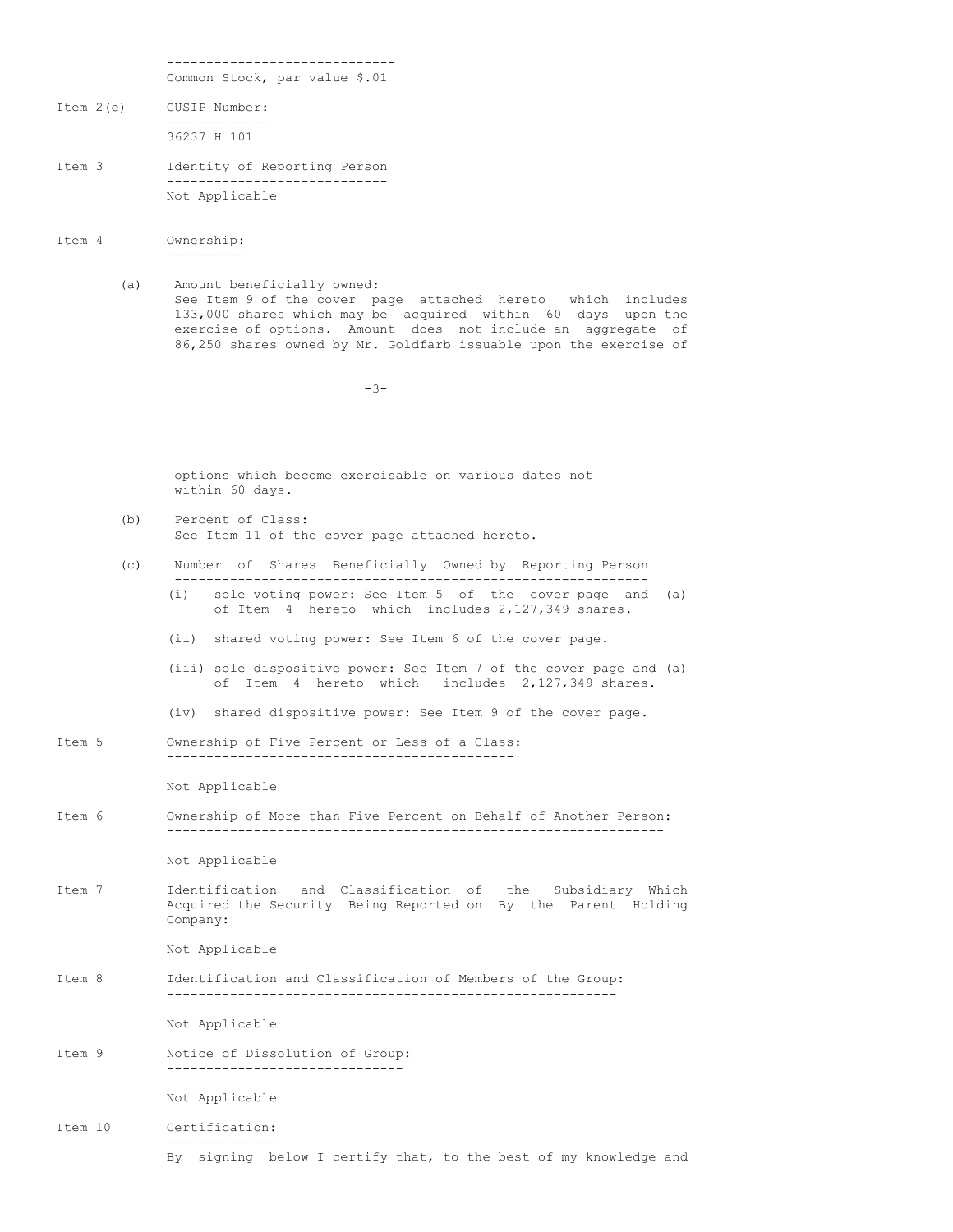----------------------------- Common Stock, par value \$.01

- Item 2(e) CUSIP Number: ------------- 36237 H 101
- Item 3 Identity of Reporting Person ---------------------------- Not Applicable
- Item 4 Ownership: ----------
	- (a) Amount beneficially owned: See Item 9 of the cover page attached hereto which includes 133,000 shares which may be acquired within 60 days upon the exercise of options. Amount does not include an aggregate of 86,250 shares owned by Mr. Goldfarb issuable upon the exercise of

 $-3-$ 

options which become exercisable on various dates not within 60 days.

- (b) Percent of Class: See Item 11 of the cover page attached hereto.
- (c) Number of Shares Beneficially Owned by Reporting Person
	- ------------------------------------------------------------ (i) sole voting power: See Item 5 of the cover page and (a) of Item 4 hereto which includes 2,127,349 shares.
	- (ii) shared voting power: See Item 6 of the cover page.
	- (iii) sole dispositive power: See Item 7 of the cover page and (a) of Item 4 hereto which includes 2,127,349 shares.
	- (iv) shared dispositive power: See Item 9 of the cover page.
- Item 5 Ownership of Five Percent or Less of a Class: --------------------------------------------

Not Applicable

Item 6 Ownership of More than Five Percent on Behalf of Another Person: ---------------------------------------------------------------

Not Applicable

Item 7 Identification and Classification of the Subsidiary Which Acquired the Security Being Reported on By the Parent Holding Company:

Not Applicable

Item 8 Identification and Classification of Members of the Group: ---------------------------------------------------------

Not Applicable

Item 9 Notice of Dissolution of Group: ------------------------------

Not Applicable

## Item 10 Certification: -------------- By signing below I certify that, to the best of my knowledge and